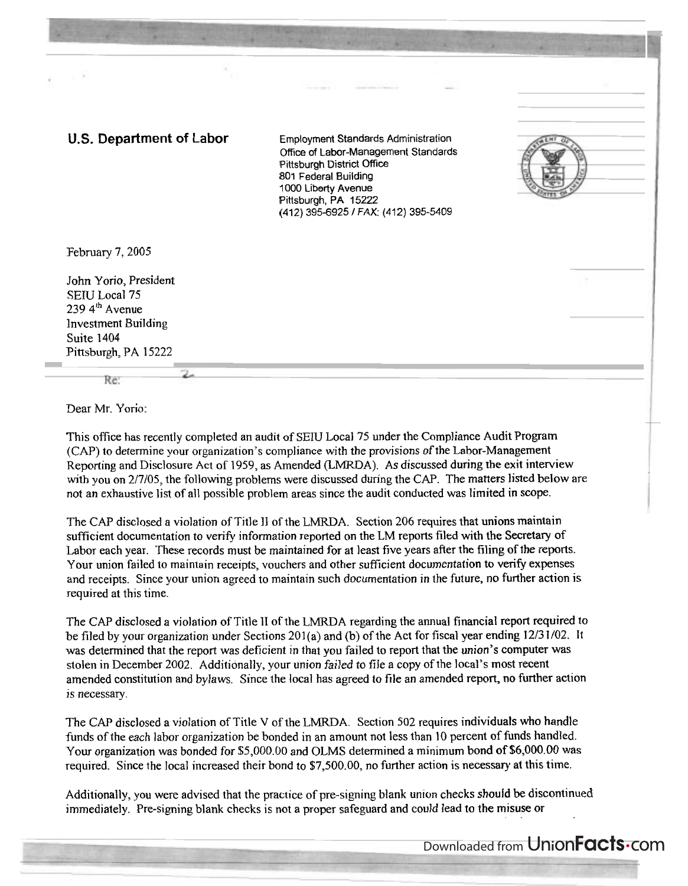## **U.S. Department of Labor** Employment Standards Administration

Office of Labor-Management Standards Pittsburgh District Office 801 Federal Building 1000 Liberty Avenue Pittsburgh, PA 15222 (412) 395-6925 / FAX: (412) 395-5409



John Yorio, President SETU Local 75 239 **4'** Avenue Investment Building Suite 1404 Pittsburgh, PA 15222

Re

Dear Mr. Yorio:

This office has recently completed an audit of SETU Local 75 under the Compliance Audit Program (CAP) to determine your organization's compliance with the provisions of the Labor-Management Reporting and Disclosure Act of 1959, as Amended (LMRDA). As discussed during the exit interview with you on 2/7/05, the following problems were discussed during the CAP. The matters listed below are not an exhaustive list of all possible problem areas since the audit conducted was limited in scope.

The CAP disclosed a violation of Title **11** of the LMRDA. Section 206 requires that unions maintain sufficient documentation to verify information reported on the LM reports filed with the Secretary of Labor each year. These records must be maintained for at least five years after the filing of the reports. Your union failed to maintain receipts, vouchers and other sufficient documentation to verify expenses and receipts. Since your union agreed to maintain such documentation in the future, no further action is required at this time.

The CAP disclosed a violation of Title **11** of the LMRDA regarding the annual financial report required to be filed by your organization under Sections 201(a) and (b) of the Act for fiscal year ending 12/3 1/02. It was determined that the report was deficient in that you failed to report that the union's computer was stolen in December 2002. Additionally, your union failed to file a copy of the local's most recent amended constitution and bylaws. Since the local has agreed to file an amended report, no further action is necessary.

The CAP disclosed a violation of Title V of the LMRDA. Section 502 requires individuals who handle funds of the each labor organization be bonded in an amount not less than 10 percent of funds handled. Your organization was bonded for \$5,000.00 and OLMS determined a minimum bond of \$6,000.00 was required. Since the local increased their bond to \$7,500.00, no further action is necessary at this time.

Additionally, you were advised that the practice of pre-signing blank union checks should be discontinued immediately. Pre-signing blank checks is not a proper safeguard and could lead to the misuse or